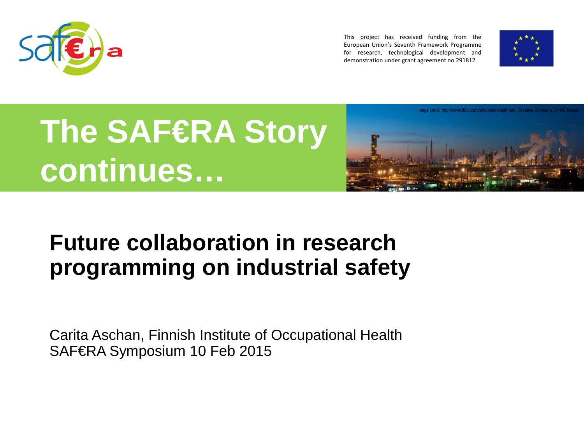

This project has received funding from the European Union's Seventh Framework Programme for research, technological development and demonstration under grant agreement no 291812



# **The SAF€RA Story continues…**



#### **Future collaboration in research programming on industrial safety**

Carita Aschan, Finnish Institute of Occupational Health SAF€RA Symposium 10 Feb 2015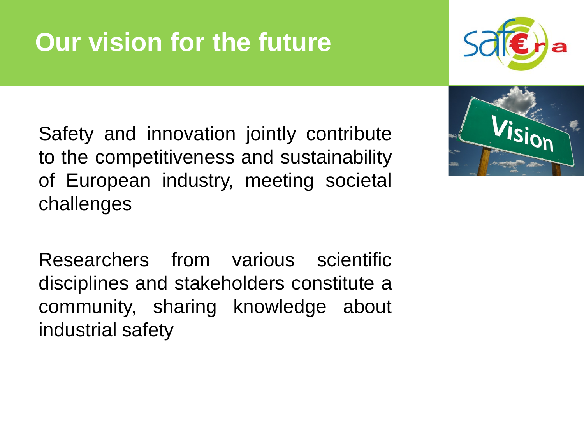# **Our vision for the future**

Safety and innovation jointly contribute to the competitiveness and sustainability of European industry, meeting societal challenges

Researchers from various scientific disciplines and stakeholders constitute a community, sharing knowledge about industrial safety



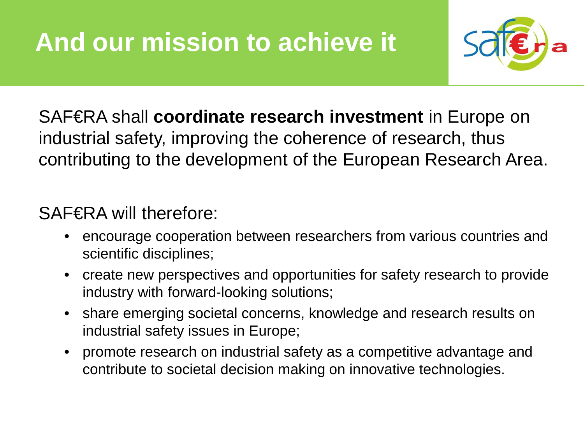

SAF€RA shall **coordinate research investment** in Europe on industrial safety, improving the coherence of research, thus contributing to the development of the European Research Area.

#### SAF€RA will therefore:

- encourage cooperation between researchers from various countries and scientific disciplines;
- create new perspectives and opportunities for safety research to provide industry with forward-looking solutions;
- share emerging societal concerns, knowledge and research results on industrial safety issues in Europe;
- promote research on industrial safety as a competitive advantage and contribute to societal decision making on innovative technologies.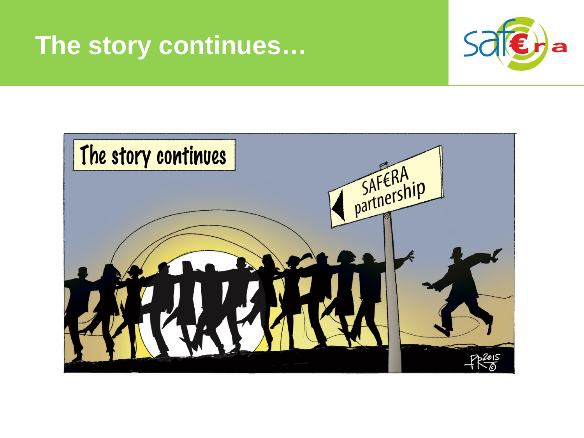#### **The story continues…**



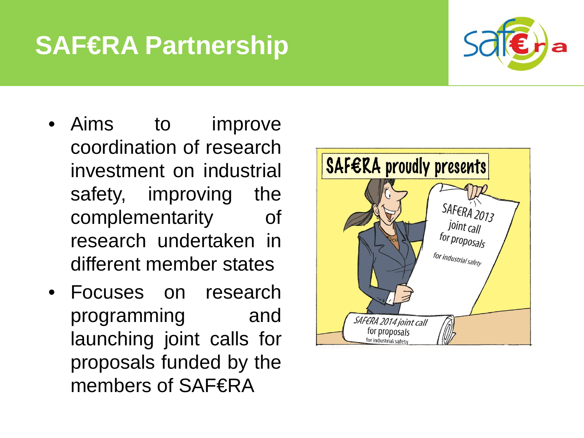## **SAF€RA Partnership**



- Aims to improve coordination of research investment on industrial safety, improving the complementarity of research undertaken in different member states
- Focuses on research programming and launching joint calls for proposals funded by the members of SAF€RA

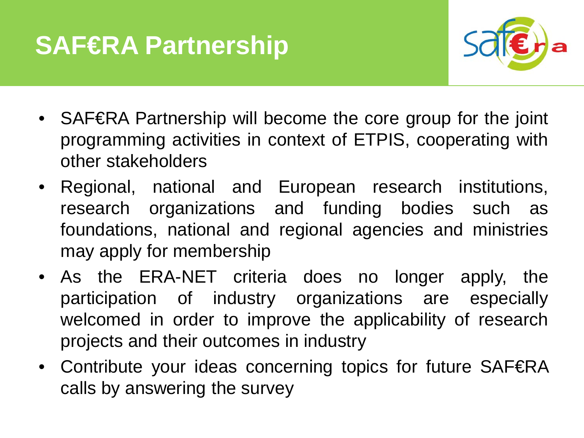## **SAF€RA Partnership**



- SAF€RA Partnership will become the core group for the joint programming activities in context of ETPIS, cooperating with other stakeholders
- Regional, national and European research institutions, research organizations and funding bodies such as foundations, national and regional agencies and ministries may apply for membership
- As the ERA-NET criteria does no longer apply, the participation of industry organizations are especially welcomed in order to improve the applicability of research projects and their outcomes in industry
- Contribute your ideas concerning topics for future SAF€RA calls by answering the survey